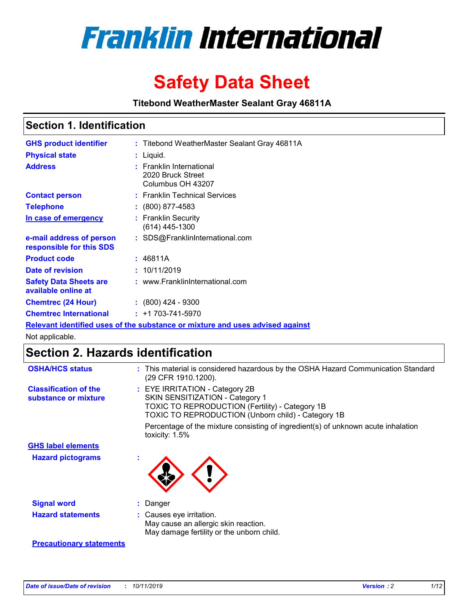

# **Safety Data Sheet**

**Titebond WeatherMaster Sealant Gray 46811A**

### **Section 1. Identification**

| <b>GHS product identifier</b>                        | : Titebond WeatherMaster Sealant Gray 46811A                                  |
|------------------------------------------------------|-------------------------------------------------------------------------------|
| <b>Physical state</b>                                | : Liquid.                                                                     |
| <b>Address</b>                                       | : Franklin International<br>2020 Bruck Street<br>Columbus OH 43207            |
| <b>Contact person</b>                                | : Franklin Technical Services                                                 |
| <b>Telephone</b>                                     | $\colon$ (800) 877-4583                                                       |
| In case of emergency                                 | : Franklin Security<br>(614) 445-1300                                         |
| e-mail address of person<br>responsible for this SDS | : SDS@FranklinInternational.com                                               |
| <b>Product code</b>                                  | : 46811A                                                                      |
| Date of revision                                     | : 10/11/2019                                                                  |
| <b>Safety Data Sheets are</b><br>available online at | : www.FranklinInternational.com                                               |
| <b>Chemtrec (24 Hour)</b>                            | $\div$ (800) 424 - 9300                                                       |
| <b>Chemtrec International</b>                        | $: +1703 - 741 - 5970$                                                        |
|                                                      | Relevant identified uses of the substance or mixture and uses advised against |

Not applicable.

## **Section 2. Hazards identification**

| <b>OSHA/HCS status</b>                               | : This material is considered hazardous by the OSHA Hazard Communication Standard<br>(29 CFR 1910.1200).                                                                          |
|------------------------------------------------------|-----------------------------------------------------------------------------------------------------------------------------------------------------------------------------------|
| <b>Classification of the</b><br>substance or mixture | : EYE IRRITATION - Category 2B<br>SKIN SENSITIZATION - Category 1<br><b>TOXIC TO REPRODUCTION (Fertility) - Category 1B</b><br>TOXIC TO REPRODUCTION (Unborn child) - Category 1B |
|                                                      | Percentage of the mixture consisting of ingredient(s) of unknown acute inhalation<br>toxicity: $1.5\%$                                                                            |
| <b>GHS label elements</b>                            |                                                                                                                                                                                   |
| <b>Hazard pictograms</b>                             |                                                                                                                                                                                   |
| <b>Signal word</b>                                   | : Danger                                                                                                                                                                          |
| <b>Hazard statements</b>                             | : Causes eye irritation.<br>May cause an allergic skin reaction.<br>May damage fertility or the unborn child.                                                                     |
| <b>Precautionary statements</b>                      |                                                                                                                                                                                   |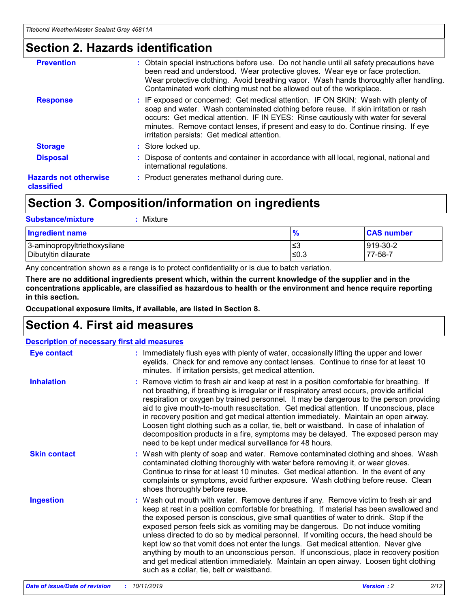### **Section 2. Hazards identification**

| <b>Prevention</b>                          | : Obtain special instructions before use. Do not handle until all safety precautions have<br>been read and understood. Wear protective gloves. Wear eye or face protection.<br>Wear protective clothing. Avoid breathing vapor. Wash hands thoroughly after handling.<br>Contaminated work clothing must not be allowed out of the workplace.                                                        |
|--------------------------------------------|------------------------------------------------------------------------------------------------------------------------------------------------------------------------------------------------------------------------------------------------------------------------------------------------------------------------------------------------------------------------------------------------------|
| <b>Response</b>                            | : IF exposed or concerned: Get medical attention. IF ON SKIN: Wash with plenty of<br>soap and water. Wash contaminated clothing before reuse. If skin irritation or rash<br>occurs: Get medical attention. IF IN EYES: Rinse cautiously with water for several<br>minutes. Remove contact lenses, if present and easy to do. Continue rinsing. If eye<br>irritation persists: Get medical attention. |
| <b>Storage</b>                             | : Store locked up.                                                                                                                                                                                                                                                                                                                                                                                   |
| <b>Disposal</b>                            | : Dispose of contents and container in accordance with all local, regional, national and<br>international regulations.                                                                                                                                                                                                                                                                               |
| <b>Hazards not otherwise</b><br>classified | : Product generates methanol during cure.                                                                                                                                                                                                                                                                                                                                                            |
|                                            |                                                                                                                                                                                                                                                                                                                                                                                                      |

### **Section 3. Composition/information on ingredients**

| <b>Substance/mixture</b><br>Mixture                  |               |                     |
|------------------------------------------------------|---------------|---------------------|
| <b>Ingredient name</b>                               | $\frac{9}{6}$ | <b>CAS number</b>   |
| 3-aminopropyltriethoxysilane<br>Dibutyltin dilaurate | ≤3<br>≤0.3    | 919-30-2<br>77-58-7 |

Any concentration shown as a range is to protect confidentiality or is due to batch variation.

**There are no additional ingredients present which, within the current knowledge of the supplier and in the concentrations applicable, are classified as hazardous to health or the environment and hence require reporting in this section.**

**Occupational exposure limits, if available, are listed in Section 8.**

### **Section 4. First aid measures**

| <b>Description of necessary first aid measures</b> |                                                                                                                                                                                                                                                                                                                                                                                                                                                                                                                                                                                                                                                                                                                                                                           |  |  |  |
|----------------------------------------------------|---------------------------------------------------------------------------------------------------------------------------------------------------------------------------------------------------------------------------------------------------------------------------------------------------------------------------------------------------------------------------------------------------------------------------------------------------------------------------------------------------------------------------------------------------------------------------------------------------------------------------------------------------------------------------------------------------------------------------------------------------------------------------|--|--|--|
| <b>Eye contact</b>                                 | : Immediately flush eyes with plenty of water, occasionally lifting the upper and lower<br>eyelids. Check for and remove any contact lenses. Continue to rinse for at least 10<br>minutes. If irritation persists, get medical attention.                                                                                                                                                                                                                                                                                                                                                                                                                                                                                                                                 |  |  |  |
| <b>Inhalation</b>                                  | : Remove victim to fresh air and keep at rest in a position comfortable for breathing. If<br>not breathing, if breathing is irregular or if respiratory arrest occurs, provide artificial<br>respiration or oxygen by trained personnel. It may be dangerous to the person providing<br>aid to give mouth-to-mouth resuscitation. Get medical attention. If unconscious, place<br>in recovery position and get medical attention immediately. Maintain an open airway.<br>Loosen tight clothing such as a collar, tie, belt or waistband. In case of inhalation of<br>decomposition products in a fire, symptoms may be delayed. The exposed person may<br>need to be kept under medical surveillance for 48 hours.                                                       |  |  |  |
| <b>Skin contact</b>                                | : Wash with plenty of soap and water. Remove contaminated clothing and shoes. Wash<br>contaminated clothing thoroughly with water before removing it, or wear gloves.<br>Continue to rinse for at least 10 minutes. Get medical attention. In the event of any<br>complaints or symptoms, avoid further exposure. Wash clothing before reuse. Clean<br>shoes thoroughly before reuse.                                                                                                                                                                                                                                                                                                                                                                                     |  |  |  |
| <b>Ingestion</b>                                   | : Wash out mouth with water. Remove dentures if any. Remove victim to fresh air and<br>keep at rest in a position comfortable for breathing. If material has been swallowed and<br>the exposed person is conscious, give small quantities of water to drink. Stop if the<br>exposed person feels sick as vomiting may be dangerous. Do not induce vomiting<br>unless directed to do so by medical personnel. If vomiting occurs, the head should be<br>kept low so that vomit does not enter the lungs. Get medical attention. Never give<br>anything by mouth to an unconscious person. If unconscious, place in recovery position<br>and get medical attention immediately. Maintain an open airway. Loosen tight clothing<br>such as a collar, tie, belt or waistband. |  |  |  |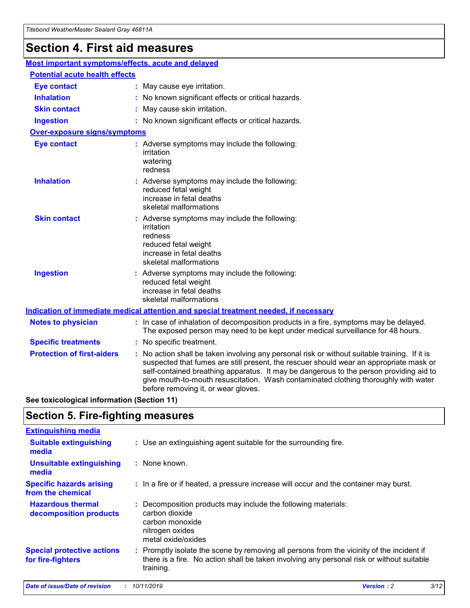## **Section 4. First aid measures**

| Most important symptoms/effects, acute and delayed |                                       |                                                                                                                                                                                                                                                                                                                                                                                                                 |  |  |  |
|----------------------------------------------------|---------------------------------------|-----------------------------------------------------------------------------------------------------------------------------------------------------------------------------------------------------------------------------------------------------------------------------------------------------------------------------------------------------------------------------------------------------------------|--|--|--|
|                                                    | <b>Potential acute health effects</b> |                                                                                                                                                                                                                                                                                                                                                                                                                 |  |  |  |
| <b>Eye contact</b>                                 |                                       | : May cause eye irritation.                                                                                                                                                                                                                                                                                                                                                                                     |  |  |  |
| <b>Inhalation</b>                                  |                                       | : No known significant effects or critical hazards.                                                                                                                                                                                                                                                                                                                                                             |  |  |  |
| <b>Skin contact</b>                                |                                       | : May cause skin irritation.                                                                                                                                                                                                                                                                                                                                                                                    |  |  |  |
| <b>Ingestion</b>                                   |                                       | : No known significant effects or critical hazards.                                                                                                                                                                                                                                                                                                                                                             |  |  |  |
| Over-exposure signs/symptoms                       |                                       |                                                                                                                                                                                                                                                                                                                                                                                                                 |  |  |  |
| <b>Eye contact</b>                                 |                                       | : Adverse symptoms may include the following:<br>irritation<br>watering<br>redness                                                                                                                                                                                                                                                                                                                              |  |  |  |
| <b>Inhalation</b>                                  |                                       | : Adverse symptoms may include the following:<br>reduced fetal weight<br>increase in fetal deaths<br>skeletal malformations                                                                                                                                                                                                                                                                                     |  |  |  |
| <b>Skin contact</b>                                |                                       | : Adverse symptoms may include the following:<br>irritation<br>redness<br>reduced fetal weight<br>increase in fetal deaths<br>skeletal malformations                                                                                                                                                                                                                                                            |  |  |  |
| <b>Ingestion</b>                                   |                                       | : Adverse symptoms may include the following:<br>reduced fetal weight<br>increase in fetal deaths<br>skeletal malformations                                                                                                                                                                                                                                                                                     |  |  |  |
|                                                    |                                       | <b>Indication of immediate medical attention and special treatment needed, if necessary</b>                                                                                                                                                                                                                                                                                                                     |  |  |  |
| <b>Notes to physician</b>                          |                                       | : In case of inhalation of decomposition products in a fire, symptoms may be delayed.<br>The exposed person may need to be kept under medical surveillance for 48 hours.                                                                                                                                                                                                                                        |  |  |  |
| <b>Specific treatments</b>                         |                                       | : No specific treatment.                                                                                                                                                                                                                                                                                                                                                                                        |  |  |  |
| <b>Protection of first-aiders</b>                  |                                       | : No action shall be taken involving any personal risk or without suitable training. If it is<br>suspected that fumes are still present, the rescuer should wear an appropriate mask or<br>self-contained breathing apparatus. It may be dangerous to the person providing aid to<br>give mouth-to-mouth resuscitation. Wash contaminated clothing thoroughly with water<br>before removing it, or wear gloves. |  |  |  |

**See toxicological information (Section 11)**

### **Section 5. Fire-fighting measures**

| <b>Extinguishing media</b>                             |                                                                                                                                                                                                     |
|--------------------------------------------------------|-----------------------------------------------------------------------------------------------------------------------------------------------------------------------------------------------------|
| <b>Suitable extinguishing</b><br>media                 | : Use an extinguishing agent suitable for the surrounding fire.                                                                                                                                     |
| <b>Unsuitable extinguishing</b><br>media               | : None known.                                                                                                                                                                                       |
| <b>Specific hazards arising</b><br>from the chemical   | : In a fire or if heated, a pressure increase will occur and the container may burst.                                                                                                               |
| <b>Hazardous thermal</b><br>decomposition products     | : Decomposition products may include the following materials:<br>carbon dioxide<br>carbon monoxide<br>nitrogen oxides<br>metal oxide/oxides                                                         |
| <b>Special protective actions</b><br>for fire-fighters | : Promptly isolate the scene by removing all persons from the vicinity of the incident if<br>there is a fire. No action shall be taken involving any personal risk or without suitable<br>training. |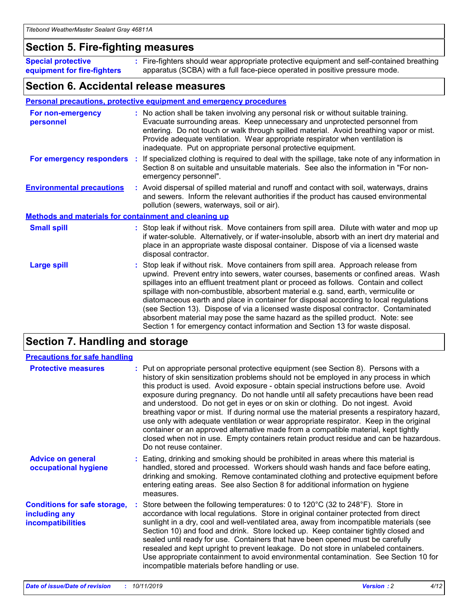### **Section 5. Fire-fighting measures**

**Special protective equipment for fire-fighters** Fire-fighters should wear appropriate protective equipment and self-contained breathing **:** apparatus (SCBA) with a full face-piece operated in positive pressure mode.

### **Section 6. Accidental release measures**

#### **Personal precautions, protective equipment and emergency procedures**

| For non-emergency<br>personnel                               | : No action shall be taken involving any personal risk or without suitable training.<br>Evacuate surrounding areas. Keep unnecessary and unprotected personnel from<br>entering. Do not touch or walk through spilled material. Avoid breathing vapor or mist.<br>Provide adequate ventilation. Wear appropriate respirator when ventilation is<br>inadequate. Put on appropriate personal protective equipment.                                                                                                                                                                                                                                                                                             |
|--------------------------------------------------------------|--------------------------------------------------------------------------------------------------------------------------------------------------------------------------------------------------------------------------------------------------------------------------------------------------------------------------------------------------------------------------------------------------------------------------------------------------------------------------------------------------------------------------------------------------------------------------------------------------------------------------------------------------------------------------------------------------------------|
|                                                              | For emergency responders : If specialized clothing is required to deal with the spillage, take note of any information in<br>Section 8 on suitable and unsuitable materials. See also the information in "For non-<br>emergency personnel".                                                                                                                                                                                                                                                                                                                                                                                                                                                                  |
| <b>Environmental precautions</b>                             | : Avoid dispersal of spilled material and runoff and contact with soil, waterways, drains<br>and sewers. Inform the relevant authorities if the product has caused environmental<br>pollution (sewers, waterways, soil or air).                                                                                                                                                                                                                                                                                                                                                                                                                                                                              |
| <b>Methods and materials for containment and cleaning up</b> |                                                                                                                                                                                                                                                                                                                                                                                                                                                                                                                                                                                                                                                                                                              |
| <b>Small spill</b>                                           | : Stop leak if without risk. Move containers from spill area. Dilute with water and mop up<br>if water-soluble. Alternatively, or if water-insoluble, absorb with an inert dry material and<br>place in an appropriate waste disposal container. Dispose of via a licensed waste<br>disposal contractor.                                                                                                                                                                                                                                                                                                                                                                                                     |
| <b>Large spill</b>                                           | : Stop leak if without risk. Move containers from spill area. Approach release from<br>upwind. Prevent entry into sewers, water courses, basements or confined areas. Wash<br>spillages into an effluent treatment plant or proceed as follows. Contain and collect<br>spillage with non-combustible, absorbent material e.g. sand, earth, vermiculite or<br>diatomaceous earth and place in container for disposal according to local regulations<br>(see Section 13). Dispose of via a licensed waste disposal contractor. Contaminated<br>absorbent material may pose the same hazard as the spilled product. Note: see<br>Section 1 for emergency contact information and Section 13 for waste disposal. |

### **Section 7. Handling and storage**

| <b>Precautions for safe handling</b>                                             |                                                                                                                                                                                                                                                                                                                                                                                                                                                                                                                                                                                                                                                                                                                                                                                                                                                  |
|----------------------------------------------------------------------------------|--------------------------------------------------------------------------------------------------------------------------------------------------------------------------------------------------------------------------------------------------------------------------------------------------------------------------------------------------------------------------------------------------------------------------------------------------------------------------------------------------------------------------------------------------------------------------------------------------------------------------------------------------------------------------------------------------------------------------------------------------------------------------------------------------------------------------------------------------|
| <b>Protective measures</b>                                                       | : Put on appropriate personal protective equipment (see Section 8). Persons with a<br>history of skin sensitization problems should not be employed in any process in which<br>this product is used. Avoid exposure - obtain special instructions before use. Avoid<br>exposure during pregnancy. Do not handle until all safety precautions have been read<br>and understood. Do not get in eyes or on skin or clothing. Do not ingest. Avoid<br>breathing vapor or mist. If during normal use the material presents a respiratory hazard,<br>use only with adequate ventilation or wear appropriate respirator. Keep in the original<br>container or an approved alternative made from a compatible material, kept tightly<br>closed when not in use. Empty containers retain product residue and can be hazardous.<br>Do not reuse container. |
| <b>Advice on general</b><br>occupational hygiene                                 | : Eating, drinking and smoking should be prohibited in areas where this material is<br>handled, stored and processed. Workers should wash hands and face before eating,<br>drinking and smoking. Remove contaminated clothing and protective equipment before<br>entering eating areas. See also Section 8 for additional information on hygiene<br>measures.                                                                                                                                                                                                                                                                                                                                                                                                                                                                                    |
| <b>Conditions for safe storage,</b><br>including any<br><b>incompatibilities</b> | : Store between the following temperatures: 0 to 120 $\degree$ C (32 to 248 $\degree$ F). Store in<br>accordance with local regulations. Store in original container protected from direct<br>sunlight in a dry, cool and well-ventilated area, away from incompatible materials (see<br>Section 10) and food and drink. Store locked up. Keep container tightly closed and<br>sealed until ready for use. Containers that have been opened must be carefully<br>resealed and kept upright to prevent leakage. Do not store in unlabeled containers.<br>Use appropriate containment to avoid environmental contamination. See Section 10 for<br>incompatible materials before handling or use.                                                                                                                                                   |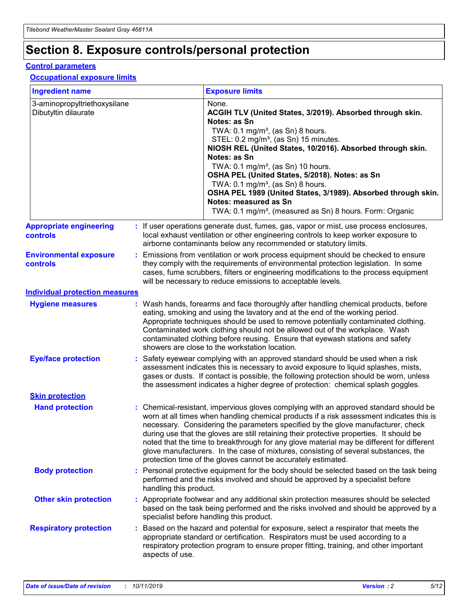## **Section 8. Exposure controls/personal protection**

#### **Control parameters**

#### **Occupational exposure limits**

| <b>Ingredient name</b>                               |    |                                          | <b>Exposure limits</b>                                                                                                                                                                                                                                                                                                                                                                                                                                                                                                                                                                                                 |
|------------------------------------------------------|----|------------------------------------------|------------------------------------------------------------------------------------------------------------------------------------------------------------------------------------------------------------------------------------------------------------------------------------------------------------------------------------------------------------------------------------------------------------------------------------------------------------------------------------------------------------------------------------------------------------------------------------------------------------------------|
| 3-aminopropyltriethoxysilane<br>Dibutyltin dilaurate |    |                                          | None.<br>ACGIH TLV (United States, 3/2019). Absorbed through skin.<br>Notes: as Sn<br>TWA: 0.1 mg/m <sup>3</sup> , (as Sn) 8 hours.<br>STEL: 0.2 mg/m <sup>3</sup> , (as Sn) 15 minutes.<br>NIOSH REL (United States, 10/2016). Absorbed through skin.<br>Notes: as Sn<br>TWA: 0.1 mg/m <sup>3</sup> , (as Sn) 10 hours.<br>OSHA PEL (United States, 5/2018). Notes: as Sn<br>TWA: $0.1 \text{ mg/m}^3$ , (as Sn) 8 hours.<br>OSHA PEL 1989 (United States, 3/1989). Absorbed through skin.<br>Notes: measured as Sn<br>TWA: 0.1 mg/m <sup>3</sup> , (measured as Sn) 8 hours. Form: Organic                           |
| <b>Appropriate engineering</b><br>controls           |    |                                          | : If user operations generate dust, fumes, gas, vapor or mist, use process enclosures,<br>local exhaust ventilation or other engineering controls to keep worker exposure to<br>airborne contaminants below any recommended or statutory limits.                                                                                                                                                                                                                                                                                                                                                                       |
| <b>Environmental exposure</b><br><b>controls</b>     |    |                                          | Emissions from ventilation or work process equipment should be checked to ensure<br>they comply with the requirements of environmental protection legislation. In some<br>cases, fume scrubbers, filters or engineering modifications to the process equipment<br>will be necessary to reduce emissions to acceptable levels.                                                                                                                                                                                                                                                                                          |
| <b>Individual protection measures</b>                |    |                                          |                                                                                                                                                                                                                                                                                                                                                                                                                                                                                                                                                                                                                        |
| <b>Hygiene measures</b>                              |    |                                          | : Wash hands, forearms and face thoroughly after handling chemical products, before<br>eating, smoking and using the lavatory and at the end of the working period.<br>Appropriate techniques should be used to remove potentially contaminated clothing.<br>Contaminated work clothing should not be allowed out of the workplace. Wash<br>contaminated clothing before reusing. Ensure that eyewash stations and safety<br>showers are close to the workstation location.                                                                                                                                            |
| <b>Eye/face protection</b>                           |    |                                          | : Safety eyewear complying with an approved standard should be used when a risk<br>assessment indicates this is necessary to avoid exposure to liquid splashes, mists,<br>gases or dusts. If contact is possible, the following protection should be worn, unless<br>the assessment indicates a higher degree of protection: chemical splash goggles.                                                                                                                                                                                                                                                                  |
| <b>Skin protection</b>                               |    |                                          |                                                                                                                                                                                                                                                                                                                                                                                                                                                                                                                                                                                                                        |
| <b>Hand protection</b>                               |    |                                          | : Chemical-resistant, impervious gloves complying with an approved standard should be<br>worn at all times when handling chemical products if a risk assessment indicates this is<br>necessary. Considering the parameters specified by the glove manufacturer, check<br>during use that the gloves are still retaining their protective properties. It should be<br>noted that the time to breakthrough for any glove material may be different for different<br>glove manufacturers. In the case of mixtures, consisting of several substances, the<br>protection time of the gloves cannot be accurately estimated. |
| <b>Body protection</b>                               |    | handling this product.                   | Personal protective equipment for the body should be selected based on the task being<br>performed and the risks involved and should be approved by a specialist before                                                                                                                                                                                                                                                                                                                                                                                                                                                |
| <b>Other skin protection</b>                         |    | specialist before handling this product. | : Appropriate footwear and any additional skin protection measures should be selected<br>based on the task being performed and the risks involved and should be approved by a                                                                                                                                                                                                                                                                                                                                                                                                                                          |
| <b>Respiratory protection</b>                        | ÷. | aspects of use.                          | Based on the hazard and potential for exposure, select a respirator that meets the<br>appropriate standard or certification. Respirators must be used according to a<br>respiratory protection program to ensure proper fitting, training, and other important                                                                                                                                                                                                                                                                                                                                                         |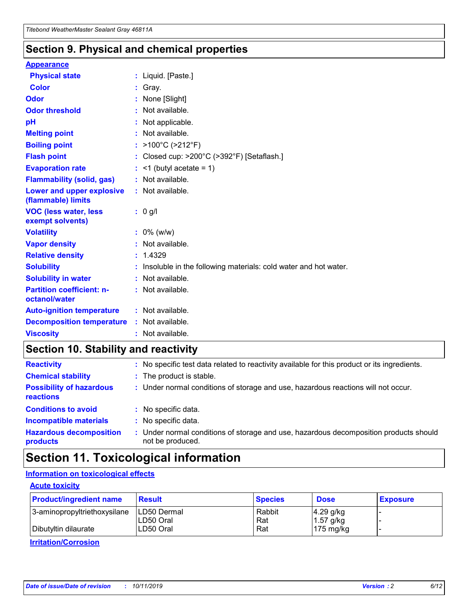### **Section 9. Physical and chemical properties**

#### **Appearance**

| <b>Physical state</b>                             | : Liquid. [Paste.]                                                |
|---------------------------------------------------|-------------------------------------------------------------------|
| Color                                             | Gray.                                                             |
| Odor                                              | None [Slight]                                                     |
| <b>Odor threshold</b>                             | : Not available.                                                  |
| рH                                                | : Not applicable.                                                 |
| <b>Melting point</b>                              | : Not available.                                                  |
| <b>Boiling point</b>                              | : $>100^{\circ}$ C ( $>212^{\circ}$ F)                            |
| <b>Flash point</b>                                | : Closed cup: $>200^{\circ}$ C ( $>392^{\circ}$ F) [Setaflash.]   |
| <b>Evaporation rate</b>                           | $:$ <1 (butyl acetate = 1)                                        |
| <b>Flammability (solid, gas)</b>                  | : Not available.                                                  |
| Lower and upper explosive<br>(flammable) limits   | : Not available.                                                  |
| <b>VOC (less water, less</b><br>exempt solvents)  | $: 0$ g/l                                                         |
| <b>Volatility</b>                                 | $: 0\%$ (w/w)                                                     |
| <b>Vapor density</b>                              | : Not available.                                                  |
| <b>Relative density</b>                           | : 1.4329                                                          |
| <b>Solubility</b>                                 | : Insoluble in the following materials: cold water and hot water. |
| <b>Solubility in water</b>                        | : Not available.                                                  |
| <b>Partition coefficient: n-</b><br>octanol/water | : Not available.                                                  |
| <b>Auto-ignition temperature</b>                  | $:$ Not available.                                                |
| <b>Decomposition temperature</b>                  | : Not available.                                                  |
| <b>Viscosity</b>                                  | : Not available.                                                  |

### **Section 10. Stability and reactivity**

| <b>Reactivity</b>                            |    | : No specific test data related to reactivity available for this product or its ingredients.            |
|----------------------------------------------|----|---------------------------------------------------------------------------------------------------------|
| <b>Chemical stability</b>                    |    | : The product is stable.                                                                                |
| <b>Possibility of hazardous</b><br>reactions |    | : Under normal conditions of storage and use, hazardous reactions will not occur.                       |
| <b>Conditions to avoid</b>                   |    | : No specific data.                                                                                     |
| <b>Incompatible materials</b>                | ٠. | No specific data.                                                                                       |
| <b>Hazardous decomposition</b><br>products   | ÷. | Under normal conditions of storage and use, hazardous decomposition products should<br>not be produced. |

### **Section 11. Toxicological information**

### **Information on toxicological effects**

#### **Acute toxicity**

| <b>Product/ingredient name</b> | <b>Result</b>           | <b>Species</b> | <b>Dose</b>                | <b>Exposure</b> |
|--------------------------------|-------------------------|----------------|----------------------------|-----------------|
| 3-aminopropyltriethoxysilane   | <b>ILD50 Dermal</b>     | Rabbit         | 4.29 g/kg                  |                 |
| Dibutyltin dilaurate           | ILD50 Oral<br>LD50 Oral | Rat<br>Rat     | $1.57$ g/kg<br>175 $mg/kg$ |                 |
|                                |                         |                |                            |                 |

**Irritation/Corrosion**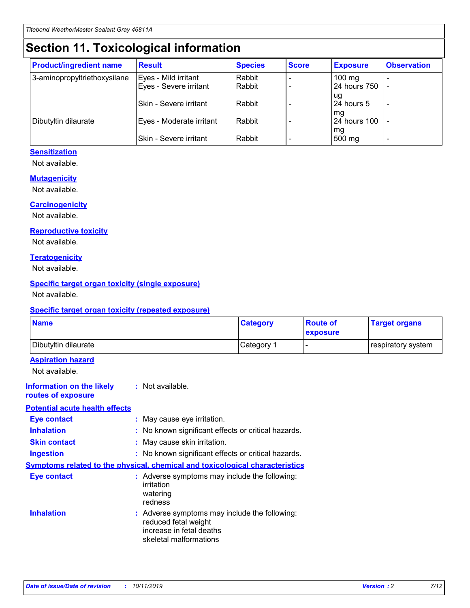## **Section 11. Toxicological information**

| <b>Product/ingredient name</b> | <b>Result</b>            | <b>Species</b> | <b>Score</b> | <b>Exposure</b>           | <b>Observation</b> |
|--------------------------------|--------------------------|----------------|--------------|---------------------------|--------------------|
| 3-aminopropyltriethoxysilane   | Eyes - Mild irritant     | Rabbit         |              | $100$ mg                  |                    |
|                                | Eyes - Severe irritant   | Rabbit         |              | 24 hours 750              |                    |
|                                |                          |                |              | ug                        |                    |
|                                | Skin - Severe irritant   | Rabbit         |              | 24 hours 5                | -                  |
| Dibutyltin dilaurate           | Eyes - Moderate irritant | Rabbit         |              | mq<br><b>24 hours 100</b> |                    |
|                                |                          |                |              | mg                        |                    |
|                                | Skin - Severe irritant   | Rabbit         |              | 500 mg                    |                    |

#### **Sensitization**

Not available.

#### **Mutagenicity**

Not available.

#### **Carcinogenicity**

Not available.

#### **Reproductive toxicity**

Not available.

#### **Teratogenicity**

Not available.

#### **Specific target organ toxicity (single exposure)**

Not available.

#### **Specific target organ toxicity (repeated exposure)**

| <b>Name</b>                                                                  |                                                                                                                             | <b>Category</b> | <b>Route of</b><br>exposure  | <b>Target organs</b> |
|------------------------------------------------------------------------------|-----------------------------------------------------------------------------------------------------------------------------|-----------------|------------------------------|----------------------|
| Dibutyltin dilaurate                                                         |                                                                                                                             | Category 1      | $\qquad \qquad \blacksquare$ | respiratory system   |
| <b>Aspiration hazard</b><br>Not available.                                   |                                                                                                                             |                 |                              |                      |
| <b>Information on the likely</b><br>routes of exposure                       | : Not available.                                                                                                            |                 |                              |                      |
| <b>Potential acute health effects</b>                                        |                                                                                                                             |                 |                              |                      |
| <b>Eye contact</b>                                                           | : May cause eye irritation.                                                                                                 |                 |                              |                      |
| <b>Inhalation</b>                                                            | : No known significant effects or critical hazards.                                                                         |                 |                              |                      |
| <b>Skin contact</b>                                                          | : May cause skin irritation.                                                                                                |                 |                              |                      |
| <b>Ingestion</b>                                                             | : No known significant effects or critical hazards.                                                                         |                 |                              |                      |
| Symptoms related to the physical, chemical and toxicological characteristics |                                                                                                                             |                 |                              |                      |
| <b>Eye contact</b>                                                           | : Adverse symptoms may include the following:<br>irritation<br>watering<br>redness                                          |                 |                              |                      |
| <b>Inhalation</b>                                                            | : Adverse symptoms may include the following:<br>reduced fetal weight<br>increase in fetal deaths<br>skeletal malformations |                 |                              |                      |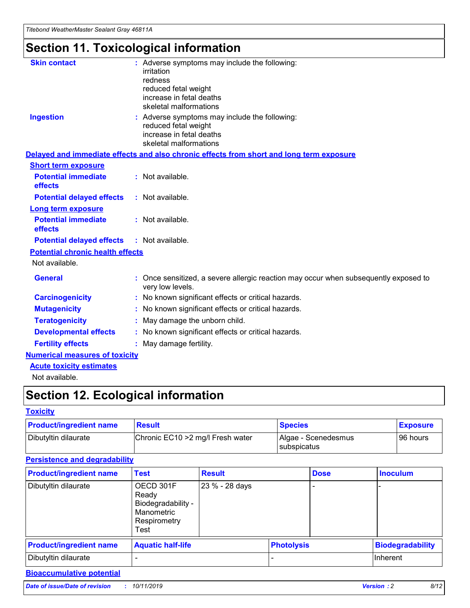## **Section 11. Toxicological information**

| <b>Skin contact</b>                     | : Adverse symptoms may include the following:                                                            |
|-----------------------------------------|----------------------------------------------------------------------------------------------------------|
|                                         | irritation                                                                                               |
|                                         | redness                                                                                                  |
|                                         | reduced fetal weight                                                                                     |
|                                         | increase in fetal deaths                                                                                 |
|                                         | skeletal malformations                                                                                   |
| <b>Ingestion</b>                        | : Adverse symptoms may include the following:                                                            |
|                                         | reduced fetal weight                                                                                     |
|                                         | increase in fetal deaths                                                                                 |
|                                         | skeletal malformations                                                                                   |
|                                         | Delayed and immediate effects and also chronic effects from short and long term exposure                 |
| <b>Short term exposure</b>              |                                                                                                          |
| <b>Potential immediate</b>              | : Not available.                                                                                         |
| effects                                 |                                                                                                          |
| <b>Potential delayed effects</b>        | : Not available.                                                                                         |
| Long term exposure                      |                                                                                                          |
| <b>Potential immediate</b>              | : Not available.                                                                                         |
| effects                                 |                                                                                                          |
| <b>Potential delayed effects</b>        | : Not available.                                                                                         |
| <b>Potential chronic health effects</b> |                                                                                                          |
| Not available.                          |                                                                                                          |
| <b>General</b>                          | : Once sensitized, a severe allergic reaction may occur when subsequently exposed to<br>very low levels. |
| <b>Carcinogenicity</b>                  | : No known significant effects or critical hazards.                                                      |
| <b>Mutagenicity</b>                     | No known significant effects or critical hazards.                                                        |
| <b>Teratogenicity</b>                   | May damage the unborn child.                                                                             |
| <b>Developmental effects</b>            | No known significant effects or critical hazards.                                                        |
| <b>Fertility effects</b>                | : May damage fertility.                                                                                  |
| <b>Numerical measures of toxicity</b>   |                                                                                                          |
| <b>Acute toxicity estimates</b>         |                                                                                                          |
|                                         |                                                                                                          |

Not available.

## **Section 12. Ecological information**

#### **Toxicity**

| <b>Product/ingredient name</b> | <b>Result</b>                     | <b>Species</b>                       | <b>Exposure</b> |
|--------------------------------|-----------------------------------|--------------------------------------|-----------------|
| Dibutyltin dilaurate           | Chronic EC10 > 2 mg/l Fresh water | Algae - Scenedesmus<br>I subspicatus | l 96 hours      |

### **Persistence and degradability**

| <b>Product/ingredient name</b> | <b>Test</b>                                                                    | <b>Result</b>  |                   | <b>Dose</b> | <b>Inoculum</b>         |
|--------------------------------|--------------------------------------------------------------------------------|----------------|-------------------|-------------|-------------------------|
| Dibutyltin dilaurate           | OECD 301F<br>Ready<br>Biodegradability -<br>Manometric<br>Respirometry<br>Test | 23 % - 28 days |                   |             |                         |
| <b>Product/ingredient name</b> | <b>Aquatic half-life</b>                                                       |                | <b>Photolysis</b> |             | <b>Biodegradability</b> |
| Dibutyltin dilaurate           |                                                                                |                |                   |             | Inherent                |

### **Bioaccumulative potential**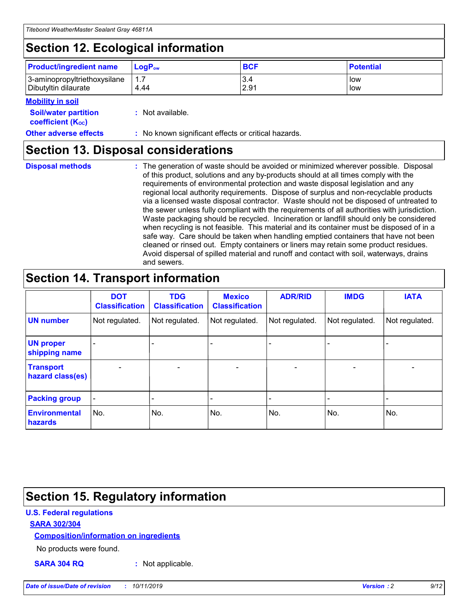## **Section 12. Ecological information**

| <b>Product/ingredient name</b>                       | ∣LoqP <sub>ow</sub> | <b>BCF</b>  | <b>Potential</b> |
|------------------------------------------------------|---------------------|-------------|------------------|
| 3-aminopropyltriethoxysilane<br>Dibutyltin dilaurate | 1.1<br>4.44         | 3.4<br>2.91 | low<br>low       |

#### **Mobility in soil**

| <i></i>                                                       |                                                     |
|---------------------------------------------------------------|-----------------------------------------------------|
| <b>Soil/water partition</b><br>coefficient (K <sub>oc</sub> ) | : Not available.                                    |
| <b>Other adverse effects</b>                                  | : No known significant effects or critical hazards. |

### **Section 13. Disposal considerations**

**Disposal methods :**

The generation of waste should be avoided or minimized wherever possible. Disposal of this product, solutions and any by-products should at all times comply with the requirements of environmental protection and waste disposal legislation and any regional local authority requirements. Dispose of surplus and non-recyclable products via a licensed waste disposal contractor. Waste should not be disposed of untreated to the sewer unless fully compliant with the requirements of all authorities with jurisdiction. Waste packaging should be recycled. Incineration or landfill should only be considered when recycling is not feasible. This material and its container must be disposed of in a safe way. Care should be taken when handling emptied containers that have not been cleaned or rinsed out. Empty containers or liners may retain some product residues. Avoid dispersal of spilled material and runoff and contact with soil, waterways, drains and sewers.

## **Section 14. Transport information**

|                                        | <b>DOT</b><br><b>Classification</b> | <b>TDG</b><br><b>Classification</b> | <b>Mexico</b><br><b>Classification</b> | <b>ADR/RID</b>           | <b>IMDG</b>                  | <b>IATA</b>    |
|----------------------------------------|-------------------------------------|-------------------------------------|----------------------------------------|--------------------------|------------------------------|----------------|
| <b>UN number</b>                       | Not regulated.                      | Not regulated.                      | Not regulated.                         | Not regulated.           | Not regulated.               | Not regulated. |
| <b>UN proper</b><br>shipping name      |                                     |                                     |                                        |                          |                              |                |
| <b>Transport</b><br>hazard class(es)   | $\qquad \qquad \blacksquare$        | $\qquad \qquad \blacksquare$        | $\overline{\phantom{a}}$               | $\overline{\phantom{a}}$ | $\overline{\phantom{a}}$     | $\blacksquare$ |
| <b>Packing group</b>                   | $\overline{\phantom{a}}$            |                                     |                                        |                          | $\qquad \qquad \blacksquare$ |                |
| <b>Environmental</b><br><b>hazards</b> | No.                                 | No.                                 | No.                                    | No.                      | No.                          | No.            |

## **Section 15. Regulatory information**

#### **U.S. Federal regulations**

#### **SARA 302/304**

#### **Composition/information on ingredients**

No products were found.

**SARA 304 RQ :** Not applicable.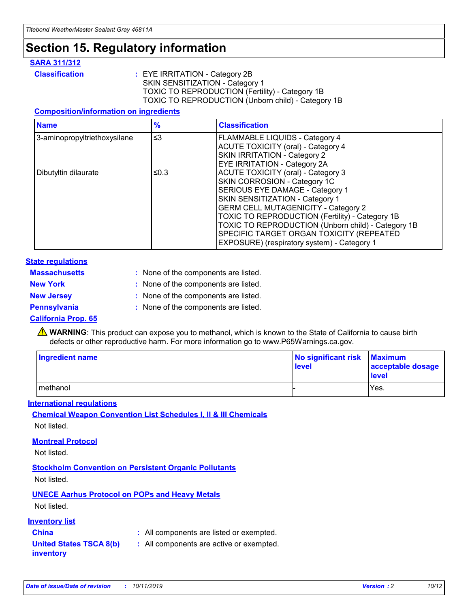## **Section 15. Regulatory information**

#### **SARA 311/312**

**Classification :** EYE IRRITATION - Category 2B SKIN SENSITIZATION - Category 1 TOXIC TO REPRODUCTION (Fertility) - Category 1B TOXIC TO REPRODUCTION (Unborn child) - Category 1B

#### **Composition/information on ingredients**

| <b>Name</b>                  | $\frac{9}{6}$ | <b>Classification</b>                                                                                            |
|------------------------------|---------------|------------------------------------------------------------------------------------------------------------------|
| 3-aminopropyltriethoxysilane | $\leq$ 3      | <b>FLAMMABLE LIQUIDS - Category 4</b><br><b>ACUTE TOXICITY (oral) - Category 4</b>                               |
|                              |               | SKIN IRRITATION - Category 2<br>EYE IRRITATION - Category 2A                                                     |
| Dibutyltin dilaurate         | ≤0.3          | ACUTE TOXICITY (oral) - Category 3<br>SKIN CORROSION - Category 1C                                               |
|                              |               | SERIOUS EYE DAMAGE - Category 1<br>SKIN SENSITIZATION - Category 1<br><b>GERM CELL MUTAGENICITY - Category 2</b> |
|                              |               | TOXIC TO REPRODUCTION (Fertility) - Category 1B<br>TOXIC TO REPRODUCTION (Unborn child) - Category 1B            |
|                              |               | SPECIFIC TARGET ORGAN TOXICITY (REPEATED<br>EXPOSURE) (respiratory system) - Category 1                          |

#### **State regulations**

| <b>Massachusetts</b> | : None of the components are listed. |
|----------------------|--------------------------------------|
| <b>New York</b>      | : None of the components are listed. |
| <b>New Jersey</b>    | : None of the components are listed. |
| <b>Pennsylvania</b>  | : None of the components are listed. |

#### **California Prop. 65**

**A** WARNING: This product can expose you to methanol, which is known to the State of California to cause birth defects or other reproductive harm. For more information go to www.P65Warnings.ca.gov.

| <b>Ingredient name</b> | No significant risk Maximum<br>level | acceptable dosage<br>level |
|------------------------|--------------------------------------|----------------------------|
| methanol               |                                      | Yes.                       |

#### **International regulations**

**Chemical Weapon Convention List Schedules I, II & III Chemicals** Not listed.

#### **Montreal Protocol**

Not listed.

#### **Stockholm Convention on Persistent Organic Pollutants**

Not listed.

### **UNECE Aarhus Protocol on POPs and Heavy Metals**

Not listed.

#### **Inventory list**

### **China :** All components are listed or exempted.

**United States TSCA 8(b) inventory :** All components are active or exempted.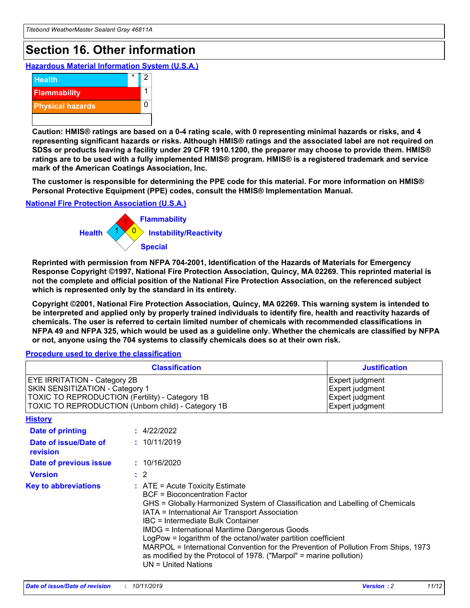## **Section 16. Other information**

**Hazardous Material Information System (U.S.A.)**



**Caution: HMIS® ratings are based on a 0-4 rating scale, with 0 representing minimal hazards or risks, and 4 representing significant hazards or risks. Although HMIS® ratings and the associated label are not required on SDSs or products leaving a facility under 29 CFR 1910.1200, the preparer may choose to provide them. HMIS® ratings are to be used with a fully implemented HMIS® program. HMIS® is a registered trademark and service mark of the American Coatings Association, Inc.**

**The customer is responsible for determining the PPE code for this material. For more information on HMIS® Personal Protective Equipment (PPE) codes, consult the HMIS® Implementation Manual.**

#### **National Fire Protection Association (U.S.A.)**



**Reprinted with permission from NFPA 704-2001, Identification of the Hazards of Materials for Emergency Response Copyright ©1997, National Fire Protection Association, Quincy, MA 02269. This reprinted material is not the complete and official position of the National Fire Protection Association, on the referenced subject which is represented only by the standard in its entirety.**

**Copyright ©2001, National Fire Protection Association, Quincy, MA 02269. This warning system is intended to be interpreted and applied only by properly trained individuals to identify fire, health and reactivity hazards of chemicals. The user is referred to certain limited number of chemicals with recommended classifications in NFPA 49 and NFPA 325, which would be used as a guideline only. Whether the chemicals are classified by NFPA or not, anyone using the 704 systems to classify chemicals does so at their own risk.**

#### **Procedure used to derive the classification**

| <b>Classification</b>                                                                                                                                                    |                                                                                                                                                                                                                                                                                                                                                                                                                                                                                                                                                               | <b>Justification</b>                                                     |
|--------------------------------------------------------------------------------------------------------------------------------------------------------------------------|---------------------------------------------------------------------------------------------------------------------------------------------------------------------------------------------------------------------------------------------------------------------------------------------------------------------------------------------------------------------------------------------------------------------------------------------------------------------------------------------------------------------------------------------------------------|--------------------------------------------------------------------------|
| EYE IRRITATION - Category 2B<br>SKIN SENSITIZATION - Category 1<br>TOXIC TO REPRODUCTION (Fertility) - Category 1B<br>TOXIC TO REPRODUCTION (Unborn child) - Category 1B |                                                                                                                                                                                                                                                                                                                                                                                                                                                                                                                                                               | Expert judgment<br>Expert judgment<br>Expert judgment<br>Expert judgment |
| <b>History</b>                                                                                                                                                           |                                                                                                                                                                                                                                                                                                                                                                                                                                                                                                                                                               |                                                                          |
| Date of printing                                                                                                                                                         | : 4/22/2022                                                                                                                                                                                                                                                                                                                                                                                                                                                                                                                                                   |                                                                          |
| Date of issue/Date of<br>revision                                                                                                                                        | : 10/11/2019                                                                                                                                                                                                                                                                                                                                                                                                                                                                                                                                                  |                                                                          |
| Date of previous issue                                                                                                                                                   | : 10/16/2020                                                                                                                                                                                                                                                                                                                                                                                                                                                                                                                                                  |                                                                          |
| <b>Version</b>                                                                                                                                                           | $\therefore$ 2                                                                                                                                                                                                                                                                                                                                                                                                                                                                                                                                                |                                                                          |
| <b>Key to abbreviations</b>                                                                                                                                              | $:$ ATE = Acute Toxicity Estimate<br><b>BCF</b> = Bioconcentration Factor<br>GHS = Globally Harmonized System of Classification and Labelling of Chemicals<br>IATA = International Air Transport Association<br>IBC = Intermediate Bulk Container<br><b>IMDG = International Maritime Dangerous Goods</b><br>LogPow = logarithm of the octanol/water partition coefficient<br>MARPOL = International Convention for the Prevention of Pollution From Ships, 1973<br>as modified by the Protocol of 1978. ("Marpol" = marine pollution)<br>UN = United Nations |                                                                          |